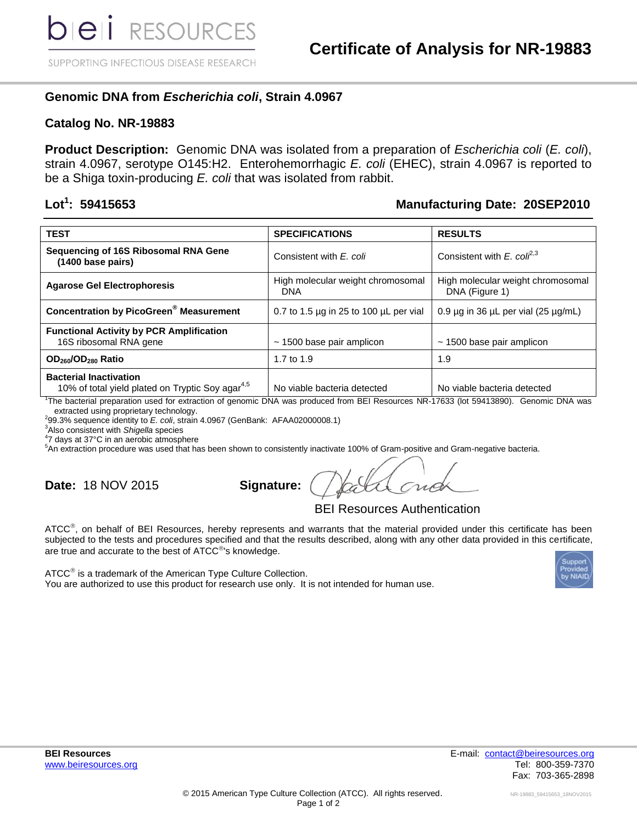SUPPORTING INFECTIOUS DISEASE RESEARCH

# **Genomic DNA from** *Escherichia coli***, Strain 4.0967**

### **Catalog No. NR-19883**

**Product Description:** Genomic DNA was isolated from a preparation of *Escherichia coli* (*E. coli*), strain 4.0967, serotype O145:H2. Enterohemorrhagic *E. coli* (EHEC), strain 4.0967 is reported to be a Shiga toxin-producing *E. coli* that was isolated from rabbit.

#### Lot<sup>1</sup>: 59415653

## **Manufacturing Date: 20SEP2010**

| <b>TEST</b>                                                                                   | <b>SPECIFICATIONS</b>                            | <b>RESULTS</b>                                      |
|-----------------------------------------------------------------------------------------------|--------------------------------------------------|-----------------------------------------------------|
| Sequencing of 16S Ribosomal RNA Gene<br>(1400 base pairs)                                     | Consistent with E. coli                          | Consistent with E. col $l^{2,3}$                    |
| <b>Agarose Gel Electrophoresis</b>                                                            | High molecular weight chromosomal<br><b>DNA</b>  | High molecular weight chromosomal<br>DNA (Figure 1) |
| <b>Concentration by PicoGreen<sup>®</sup> Measurement</b>                                     | 0.7 to 1.5 $\mu$ g in 25 to 100 $\mu$ L per vial | $0.9 \mu$ g in 36 $\mu$ L per vial (25 $\mu$ g/mL)  |
| <b>Functional Activity by PCR Amplification</b><br>16S ribosomal RNA gene                     | $\sim$ 1500 base pair amplicon                   | $\sim$ 1500 base pair amplicon                      |
| OD <sub>260</sub> /OD <sub>280</sub> Ratio                                                    | 1.7 to 1.9                                       | 1.9                                                 |
| <b>Bacterial Inactivation</b><br>10% of total yield plated on Tryptic Soy agar <sup>4,5</sup> | No viable bacteria detected                      | No viable bacteria detected                         |

1 The bacterial preparation used for extraction of genomic DNA was produced from BEI Resources NR-17633 (lot 59413890). Genomic DNA was extracted using proprietary technology.

2 99.3% sequence identity to *E. coli*, strain 4.0967 (GenBank: AFAA02000008.1)

<sup>3</sup>Also consistent with *Shigella* species

4 7 days at 37°C in an aerobic atmosphere

<sup>5</sup>An extraction procedure was used that has been shown to consistently inactivate 100% of Gram-positive and Gram-negative bacteria.

**Date: 18 NOV 2015** 

| Signature: / |  |
|--------------|--|
|--------------|--|

BEI Resources Authentication

ATCC<sup>®</sup>, on behalf of BEI Resources, hereby represents and warrants that the material provided under this certificate has been subjected to the tests and procedures specified and that the results described, along with any other data provided in this certificate, are true and accurate to the best of  $\textrm{ATCC}^{\circledast}$ 's knowledge.



 $\tt ATCC^®$  is a trademark of the American Type Culture Collection. You are authorized to use this product for research use only. It is not intended for human use.